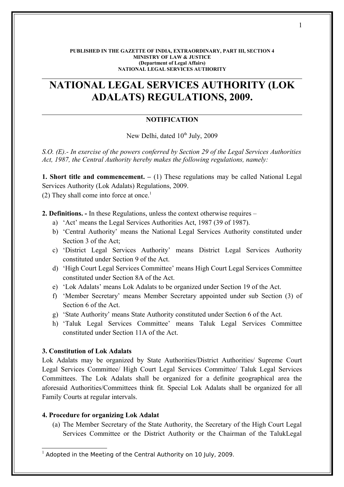#### **PUBLISHED IN THE GAZETTE OF INDIA, EXTRAORDINARY, PART III, SECTION 4 MINISTRY OF LAW & JUSTICE (Department of Legal Affairs) NATIONAL LEGAL SERVICES AUTHORITY**

# **NATIONAL LEGAL SERVICES AUTHORITY (LOK ADALATS) REGULATIONS, 2009.**

# **NOTIFICATION**

New Delhi, dated 10<sup>th</sup> July, 2009

*S.O. (E).- In exercise of the powers conferred by Section 29 of the Legal Services Authorities Act, 1987, the Central Authority hereby makes the following regulations, namely:*

**1. Short title and commencement.** – (1) These regulations may be called National Legal Services Authority (Lok Adalats) Regulations, 2009.

(2) They shall come into force at once.<sup>[1](#page-0-0)</sup>

**2. Definitions. -** In these Regulations, unless the context otherwise requires –

- a) 'Act' means the Legal Services Authorities Act, 1987 (39 of 1987).
- b) 'Central Authority' means the National Legal Services Authority constituted under Section 3 of the Act;
- c) 'District Legal Services Authority' means District Legal Services Authority constituted under Section 9 of the Act.
- d) 'High Court Legal Services Committee' means High Court Legal Services Committee constituted under Section 8A of the Act.
- e) 'Lok Adalats' means Lok Adalats to be organized under Section 19 of the Act.
- f) 'Member Secretary' means Member Secretary appointed under sub Section (3) of Section 6 of the Act.
- g) 'State Authority' means State Authority constituted under Section 6 of the Act.
- h) 'Taluk Legal Services Committee' means Taluk Legal Services Committee constituted under Section 11A of the Act.

### **3. Constitution of Lok Adalats**

Lok Adalats may be organized by State Authorities/District Authorities/ Supreme Court Legal Services Committee/ High Court Legal Services Committee/ Taluk Legal Services Committees. The Lok Adalats shall be organized for a definite geographical area the aforesaid Authorities/Committees think fit. Special Lok Adalats shall be organized for all Family Courts at regular intervals.

#### **4. Procedure for organizing Lok Adalat**

(a) The Member Secretary of the State Authority, the Secretary of the High Court Legal Services Committee or the District Authority or the Chairman of the TalukLegal

<span id="page-0-0"></span> $1$  Adopted in the Meeting of the Central Authority on 10 July, 2009.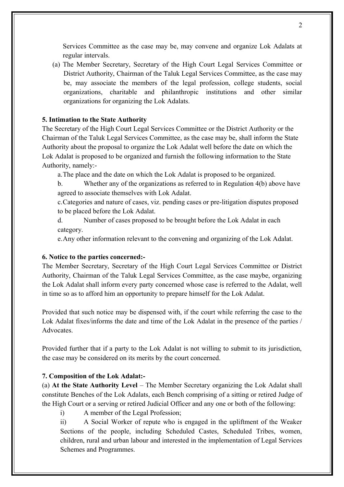Services Committee as the case may be, may convene and organize Lok Adalats at regular intervals.

(a) The Member Secretary, Secretary of the High Court Legal Services Committee or District Authority, Chairman of the Taluk Legal Services Committee, as the case may be, may associate the members of the legal profession, college students, social organizations, charitable and philanthropic institutions and other similar organizations for organizing the Lok Adalats.

#### **5. Intimation to the State Authority**

The Secretary of the High Court Legal Services Committee or the District Authority or the Chairman of the Taluk Legal Services Committee, as the case may be, shall inform the State Authority about the proposal to organize the Lok Adalat well before the date on which the Lok Adalat is proposed to be organized and furnish the following information to the State Authority, namely:-

a.The place and the date on which the Lok Adalat is proposed to be organized.

b. Whether any of the organizations as referred to in Regulation 4(b) above have agreed to associate themselves with Lok Adalat.

c.Categories and nature of cases, viz. pending cases or pre-litigation disputes proposed to be placed before the Lok Adalat.

d. Number of cases proposed to be brought before the Lok Adalat in each category.

e.Any other information relevant to the convening and organizing of the Lok Adalat.

#### **6. Notice to the parties concerned:-**

The Member Secretary, Secretary of the High Court Legal Services Committee or District Authority, Chairman of the Taluk Legal Services Committee, as the case maybe, organizing the Lok Adalat shall inform every party concerned whose case is referred to the Adalat, well in time so as to afford him an opportunity to prepare himself for the Lok Adalat.

Provided that such notice may be dispensed with, if the court while referring the case to the Lok Adalat fixes/informs the date and time of the Lok Adalat in the presence of the parties / **Advocates** 

Provided further that if a party to the Lok Adalat is not willing to submit to its jurisdiction, the case may be considered on its merits by the court concerned.

#### **7. Composition of the Lok Adalat:-**

(a) **At the State Authority Level** – The Member Secretary organizing the Lok Adalat shall constitute Benches of the Lok Adalats, each Bench comprising of a sitting or retired Judge of the High Court or a serving or retired Judicial Officer and any one or both of the following:

i) A member of the Legal Profession;

ii) A Social Worker of repute who is engaged in the upliftment of the Weaker Sections of the people, including Scheduled Castes, Scheduled Tribes, women, children, rural and urban labour and interested in the implementation of Legal Services Schemes and Programmes.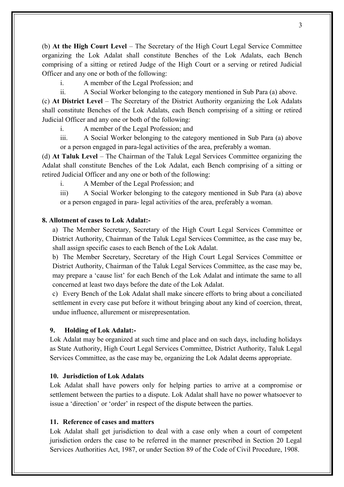(b) **At the High Court Level** – The Secretary of the High Court Legal Service Committee organizing the Lok Adalat shall constitute Benches of the Lok Adalats, each Bench comprising of a sitting or retired Judge of the High Court or a serving or retired Judicial Officer and any one or both of the following:

i. A member of the Legal Profession; and

ii. A Social Worker belonging to the category mentioned in Sub Para (a) above.

(c) **At District Level** – The Secretary of the District Authority organizing the Lok Adalats shall constitute Benches of the Lok Adalats, each Bench comprising of a sitting or retired Judicial Officer and any one or both of the following:

i. A member of the Legal Profession; and

iii. A Social Worker belonging to the category mentioned in Sub Para (a) above or a person engaged in para-legal activities of the area, preferably a woman.

(d) **At Taluk Level** – The Chairman of the Taluk Legal Services Committee organizing the Adalat shall constitute Benches of the Lok Adalat, each Bench comprising of a sitting or retired Judicial Officer and any one or both of the following:

i. A Member of the Legal Profession; and

iii) A Social Worker belonging to the category mentioned in Sub Para (a) above or a person engaged in para- legal activities of the area, preferably a woman.

#### **8. Allotment of cases to Lok Adalat:-**

a) The Member Secretary, Secretary of the High Court Legal Services Committee or District Authority, Chairman of the Taluk Legal Services Committee, as the case may be, shall assign specific cases to each Bench of the Lok Adalat.

b) The Member Secretary, Secretary of the High Court Legal Services Committee or District Authority, Chairman of the Taluk Legal Services Committee, as the case may be, may prepare a 'cause list' for each Bench of the Lok Adalat and intimate the same to all concerned at least two days before the date of the Lok Adalat.

c) Every Bench of the Lok Adalat shall make sincere efforts to bring about a conciliated settlement in every case put before it without bringing about any kind of coercion, threat, undue influence, allurement or misrepresentation.

#### **9. Holding of Lok Adalat:-**

Lok Adalat may be organized at such time and place and on such days, including holidays as State Authority, High Court Legal Services Committee, District Authority, Taluk Legal Services Committee, as the case may be, organizing the Lok Adalat deems appropriate.

#### **10. Jurisdiction of Lok Adalats**

Lok Adalat shall have powers only for helping parties to arrive at a compromise or settlement between the parties to a dispute. Lok Adalat shall have no power whatsoever to issue a 'direction' or 'order' in respect of the dispute between the parties.

## **11. Reference of cases and matters**

Lok Adalat shall get jurisdiction to deal with a case only when a court of competent jurisdiction orders the case to be referred in the manner prescribed in Section 20 Legal Services Authorities Act, 1987, or under Section 89 of the Code of Civil Procedure, 1908.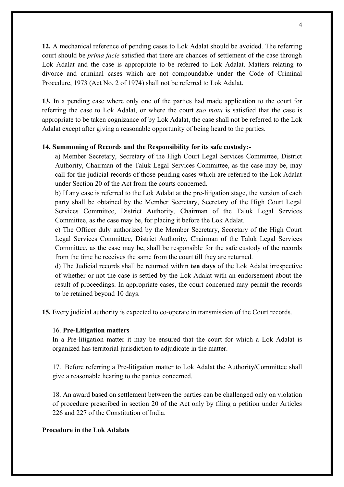**12.** A mechanical reference of pending cases to Lok Adalat should be avoided. The referring court should be *prima facie* satisfied that there are chances of settlement of the case through Lok Adalat and the case is appropriate to be referred to Lok Adalat. Matters relating to divorce and criminal cases which are not compoundable under the Code of Criminal Procedure, 1973 (Act No. 2 of 1974) shall not be referred to Lok Adalat.

**13.** In a pending case where only one of the parties had made application to the court for referring the case to Lok Adalat, or where the court *suo motu* is satisfied that the case is appropriate to be taken cognizance of by Lok Adalat, the case shall not be referred to the Lok Adalat except after giving a reasonable opportunity of being heard to the parties.

#### **14. Summoning of Records and the Responsibility for its safe custody:-**

a) Member Secretary, Secretary of the High Court Legal Services Committee, District Authority, Chairman of the Taluk Legal Services Committee, as the case may be, may call for the judicial records of those pending cases which are referred to the Lok Adalat under Section 20 of the Act from the courts concerned.

b) If any case is referred to the Lok Adalat at the pre-litigation stage, the version of each party shall be obtained by the Member Secretary, Secretary of the High Court Legal Services Committee, District Authority, Chairman of the Taluk Legal Services Committee, as the case may be, for placing it before the Lok Adalat.

c) The Officer duly authorized by the Member Secretary, Secretary of the High Court Legal Services Committee, District Authority, Chairman of the Taluk Legal Services Committee, as the case may be, shall be responsible for the safe custody of the records from the time he receives the same from the court till they are returned.

d) The Judicial records shall be returned within **ten days** of the Lok Adalat irrespective of whether or not the case is settled by the Lok Adalat with an endorsement about the result of proceedings. In appropriate cases, the court concerned may permit the records to be retained beyond 10 days.

**15.** Every judicial authority is expected to co-operate in transmission of the Court records.

#### 16. **Pre-Litigation matters**

In a Pre-litigation matter it may be ensured that the court for which a Lok Adalat is organized has territorial jurisdiction to adjudicate in the matter.

17. Before referring a Pre-litigation matter to Lok Adalat the Authority/Committee shall give a reasonable hearing to the parties concerned.

18. An award based on settlement between the parties can be challenged only on violation of procedure prescribed in section 20 of the Act only by filing a petition under Articles 226 and 227 of the Constitution of India.

### **Procedure in the Lok Adalats**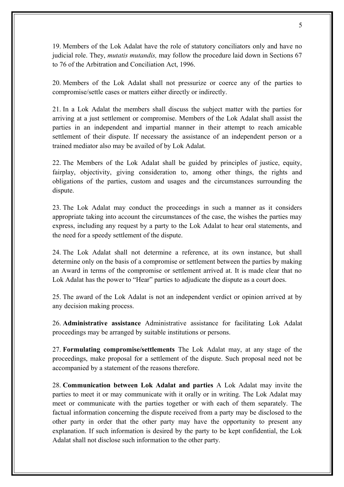19. Members of the Lok Adalat have the role of statutory conciliators only and have no judicial role. They, *mutatis mutandis,* may follow the procedure laid down in Sections 67 to 76 of the Arbitration and Conciliation Act, 1996.

20. Members of the Lok Adalat shall not pressurize or coerce any of the parties to compromise/settle cases or matters either directly or indirectly.

21. In a Lok Adalat the members shall discuss the subject matter with the parties for arriving at a just settlement or compromise. Members of the Lok Adalat shall assist the parties in an independent and impartial manner in their attempt to reach amicable settlement of their dispute. If necessary the assistance of an independent person or a trained mediator also may be availed of by Lok Adalat.

22. The Members of the Lok Adalat shall be guided by principles of justice, equity, fairplay, objectivity, giving consideration to, among other things, the rights and obligations of the parties, custom and usages and the circumstances surrounding the dispute.

23. The Lok Adalat may conduct the proceedings in such a manner as it considers appropriate taking into account the circumstances of the case, the wishes the parties may express, including any request by a party to the Lok Adalat to hear oral statements, and the need for a speedy settlement of the dispute.

24. The Lok Adalat shall not determine a reference, at its own instance, but shall determine only on the basis of a compromise or settlement between the parties by making an Award in terms of the compromise or settlement arrived at. It is made clear that no Lok Adalat has the power to "Hear" parties to adjudicate the dispute as a court does.

25. The award of the Lok Adalat is not an independent verdict or opinion arrived at by any decision making process.

26. **Administrative assistance** Administrative assistance for facilitating Lok Adalat proceedings may be arranged by suitable institutions or persons.

27. **Formulating compromise/settlements** The Lok Adalat may, at any stage of the proceedings, make proposal for a settlement of the dispute. Such proposal need not be accompanied by a statement of the reasons therefore.

28. **Communication between Lok Adalat and parties** A Lok Adalat may invite the parties to meet it or may communicate with it orally or in writing. The Lok Adalat may meet or communicate with the parties together or with each of them separately. The factual information concerning the dispute received from a party may be disclosed to the other party in order that the other party may have the opportunity to present any explanation. If such information is desired by the party to be kept confidential, the Lok Adalat shall not disclose such information to the other party.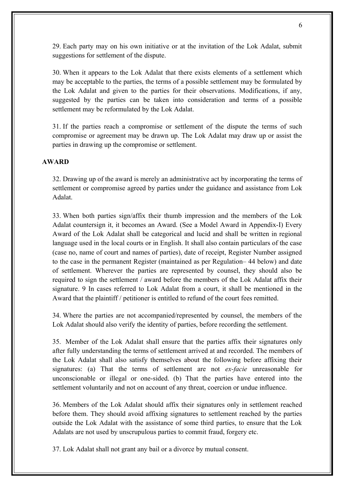29. Each party may on his own initiative or at the invitation of the Lok Adalat, submit suggestions for settlement of the dispute.

30. When it appears to the Lok Adalat that there exists elements of a settlement which may be acceptable to the parties, the terms of a possible settlement may be formulated by the Lok Adalat and given to the parties for their observations. Modifications, if any, suggested by the parties can be taken into consideration and terms of a possible settlement may be reformulated by the Lok Adalat.

31. If the parties reach a compromise or settlement of the dispute the terms of such compromise or agreement may be drawn up. The Lok Adalat may draw up or assist the parties in drawing up the compromise or settlement.

### **AWARD**

32. Drawing up of the award is merely an administrative act by incorporating the terms of settlement or compromise agreed by parties under the guidance and assistance from Lok Adalat.

33. When both parties sign/affix their thumb impression and the members of the Lok Adalat countersign it, it becomes an Award. (See a Model Award in Appendix-I) Every Award of the Lok Adalat shall be categorical and lucid and shall be written in regional language used in the local courts or in English. It shall also contain particulars of the case (case no, name of court and names of parties), date of receipt, Register Number assigned to the case in the permanent Register (maintained as per Regulation– 44 below) and date of settlement. Wherever the parties are represented by counsel, they should also be required to sign the settlement / award before the members of the Lok Adalat affix their signature. 9 In cases referred to Lok Adalat from a court, it shall be mentioned in the Award that the plaintiff / petitioner is entitled to refund of the court fees remitted.

34. Where the parties are not accompanied/represented by counsel, the members of the Lok Adalat should also verify the identity of parties, before recording the settlement.

35. Member of the Lok Adalat shall ensure that the parties affix their signatures only after fully understanding the terms of settlement arrived at and recorded. The members of the Lok Adalat shall also satisfy themselves about the following before affixing their signatures: (a) That the terms of settlement are not *ex-facie* unreasonable for unconscionable or illegal or one-sided. (b) That the parties have entered into the settlement voluntarily and not on account of any threat, coercion or undue influence.

36. Members of the Lok Adalat should affix their signatures only in settlement reached before them. They should avoid affixing signatures to settlement reached by the parties outside the Lok Adalat with the assistance of some third parties, to ensure that the Lok Adalats are not used by unscrupulous parties to commit fraud, forgery etc.

37. Lok Adalat shall not grant any bail or a divorce by mutual consent.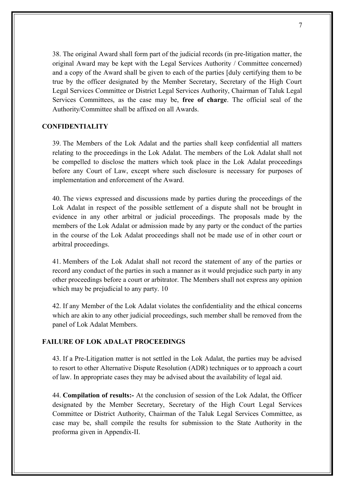38. The original Award shall form part of the judicial records (in pre-litigation matter, the original Award may be kept with the Legal Services Authority / Committee concerned) and a copy of the Award shall be given to each of the parties [duly certifying them to be true by the officer designated by the Member Secretary, Secretary of the High Court Legal Services Committee or District Legal Services Authority, Chairman of Taluk Legal Services Committees, as the case may be, **free of charge**. The official seal of the Authority/Committee shall be affixed on all Awards.

## **CONFIDENTIALITY**

39. The Members of the Lok Adalat and the parties shall keep confidential all matters relating to the proceedings in the Lok Adalat. The members of the Lok Adalat shall not be compelled to disclose the matters which took place in the Lok Adalat proceedings before any Court of Law, except where such disclosure is necessary for purposes of implementation and enforcement of the Award.

40. The views expressed and discussions made by parties during the proceedings of the Lok Adalat in respect of the possible settlement of a dispute shall not be brought in evidence in any other arbitral or judicial proceedings. The proposals made by the members of the Lok Adalat or admission made by any party or the conduct of the parties in the course of the Lok Adalat proceedings shall not be made use of in other court or arbitral proceedings.

41. Members of the Lok Adalat shall not record the statement of any of the parties or record any conduct of the parties in such a manner as it would prejudice such party in any other proceedings before a court or arbitrator. The Members shall not express any opinion which may be prejudicial to any party. 10

42. If any Member of the Lok Adalat violates the confidentiality and the ethical concerns which are akin to any other judicial proceedings, such member shall be removed from the panel of Lok Adalat Members.

### **FAILURE OF LOK ADALAT PROCEEDINGS**

43. If a Pre-Litigation matter is not settled in the Lok Adalat, the parties may be advised to resort to other Alternative Dispute Resolution (ADR) techniques or to approach a court of law. In appropriate cases they may be advised about the availability of legal aid.

44. **Compilation of results:-** At the conclusion of session of the Lok Adalat, the Officer designated by the Member Secretary, Secretary of the High Court Legal Services Committee or District Authority, Chairman of the Taluk Legal Services Committee, as case may be, shall compile the results for submission to the State Authority in the proforma given in Appendix-II.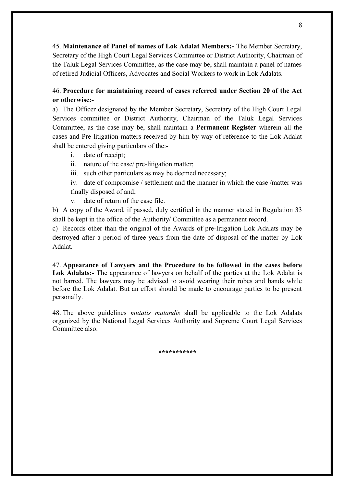45. **Maintenance of Panel of names of Lok Adalat Members:-** The Member Secretary, Secretary of the High Court Legal Services Committee or District Authority, Chairman of the Taluk Legal Services Committee, as the case may be, shall maintain a panel of names of retired Judicial Officers, Advocates and Social Workers to work in Lok Adalats.

# 46. **Procedure for maintaining record of cases referred under Section 20 of the Act or otherwise:-**

a) The Officer designated by the Member Secretary, Secretary of the High Court Legal Services committee or District Authority, Chairman of the Taluk Legal Services Committee, as the case may be, shall maintain a **Permanent Register** wherein all the cases and Pre-litigation matters received by him by way of reference to the Lok Adalat shall be entered giving particulars of the:-

- i. date of receipt;
- ii. nature of the case/ pre-litigation matter;
- iii. such other particulars as may be deemed necessary;

iv. date of compromise / settlement and the manner in which the case /matter was finally disposed of and;

v. date of return of the case file.

b) A copy of the Award, if passed, duly certified in the manner stated in Regulation 33 shall be kept in the office of the Authority/ Committee as a permanent record.

c) Records other than the original of the Awards of pre-litigation Lok Adalats may be destroyed after a period of three years from the date of disposal of the matter by Lok Adalat.

47. **Appearance of Lawyers and the Procedure to be followed in the cases before Lok Adalats:-** The appearance of lawyers on behalf of the parties at the Lok Adalat is not barred. The lawyers may be advised to avoid wearing their robes and bands while before the Lok Adalat. But an effort should be made to encourage parties to be present personally.

48. The above guidelines *mutatis mutandis* shall be applicable to the Lok Adalats organized by the National Legal Services Authority and Supreme Court Legal Services Committee also.

**\*\*\*\*\*\*\*\*\*\*\***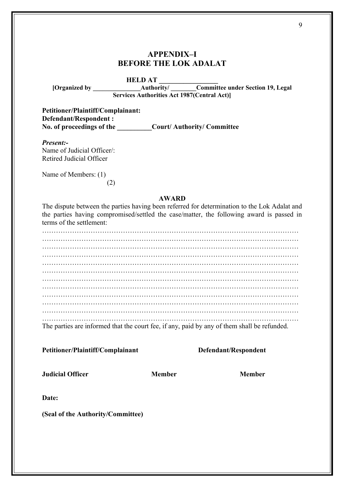# **APPENDIX–I BEFORE THE LOK ADALAT**

#### **HELD AT**

**[Organized by \_\_\_\_\_\_\_\_\_\_\_\_\_\_\_Authority/ \_\_\_\_\_\_\_\_Committee under Section 19, Legal Services Authorities Act 1987(Central Act)]**

**Petitioner/Plaintiff/Complainant: Defendant/Respondent : No. of proceedings of the \_\_\_\_\_\_\_\_\_\_Court/ Authority/ Committee**

*Present:-*

Name of Judicial Officer/: Retired Judicial Officer

Name of Members: (1)

(2)

#### **AWARD**

The dispute between the parties having been referred for determination to the Lok Adalat and the parties having compromised/settled the case/matter, the following award is passed in terms of the settlement:

………………………………………………………………………………………………… ………………………………………………………………………………………………… ………………………………………………………………………………………………… ………………………………………………………………………………………………… ………………………………………………………………………………………………… ………………………………………………………………………………………………… ………………………………………………………………………………………………… ………………………………………………………………………………………………… ………………………………………………………………………………………………… ………………………………………………………………………………………………… ………………………………………………………………………………………………… …………………………………………………………………………………………………

The parties are informed that the court fee, if any, paid by any of them shall be refunded.

**Petitioner/Plaintiff/Complainant Defendant/Respondent**

**Judicial Officer Member Member**

**Date:**

**(Seal of the Authority/Committee)**